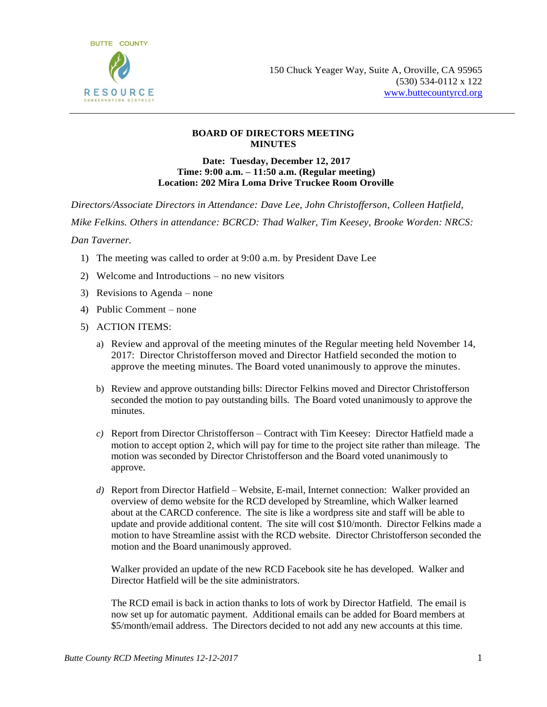

## **BOARD OF DIRECTORS MEETING MINUTES**

## **Date: Tuesday, December 12, 2017 Time: 9:00 a.m. – 11:50 a.m. (Regular meeting) Location: 202 Mira Loma Drive Truckee Room Oroville**

*Directors/Associate Directors in Attendance: Dave Lee, John Christofferson, Colleen Hatfield,* 

*Mike Felkins. Others in attendance: BCRCD: Thad Walker, Tim Keesey, Brooke Worden: NRCS:* 

*Dan Taverner.*

- 1) The meeting was called to order at 9:00 a.m. by President Dave Lee
- 2) Welcome and Introductions no new visitors
- 3) Revisions to Agenda none
- 4) Public Comment none
- 5) ACTION ITEMS:
	- a) Review and approval of the meeting minutes of the Regular meeting held November 14, 2017: Director Christofferson moved and Director Hatfield seconded the motion to approve the meeting minutes. The Board voted unanimously to approve the minutes.
	- b) Review and approve outstanding bills: Director Felkins moved and Director Christofferson seconded the motion to pay outstanding bills. The Board voted unanimously to approve the minutes.
	- *c)* Report from Director Christofferson Contract with Tim Keesey: Director Hatfield made a motion to accept option 2, which will pay for time to the project site rather than mileage. The motion was seconded by Director Christofferson and the Board voted unanimously to approve.
	- *d)* Report from Director Hatfield Website, E-mail, Internet connection: Walker provided an overview of demo website for the RCD developed by Streamline, which Walker learned about at the CARCD conference. The site is like a wordpress site and staff will be able to update and provide additional content. The site will cost \$10/month. Director Felkins made a motion to have Streamline assist with the RCD website. Director Christofferson seconded the motion and the Board unanimously approved.

Walker provided an update of the new RCD Facebook site he has developed. Walker and Director Hatfield will be the site administrators.

The RCD email is back in action thanks to lots of work by Director Hatfield. The email is now set up for automatic payment. Additional emails can be added for Board members at \$5/month/email address. The Directors decided to not add any new accounts at this time.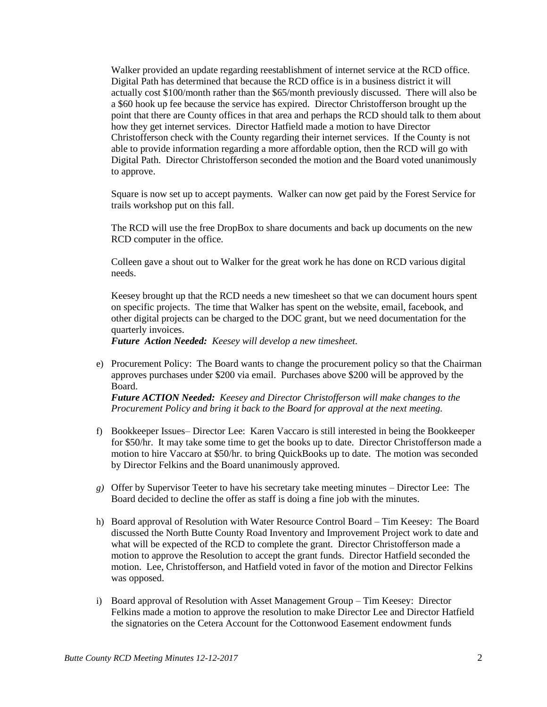Walker provided an update regarding reestablishment of internet service at the RCD office. Digital Path has determined that because the RCD office is in a business district it will actually cost \$100/month rather than the \$65/month previously discussed. There will also be a \$60 hook up fee because the service has expired. Director Christofferson brought up the point that there are County offices in that area and perhaps the RCD should talk to them about how they get internet services. Director Hatfield made a motion to have Director Christofferson check with the County regarding their internet services. If the County is not able to provide information regarding a more affordable option, then the RCD will go with Digital Path. Director Christofferson seconded the motion and the Board voted unanimously to approve.

Square is now set up to accept payments. Walker can now get paid by the Forest Service for trails workshop put on this fall.

The RCD will use the free DropBox to share documents and back up documents on the new RCD computer in the office.

Colleen gave a shout out to Walker for the great work he has done on RCD various digital needs.

Keesey brought up that the RCD needs a new timesheet so that we can document hours spent on specific projects. The time that Walker has spent on the website, email, facebook, and other digital projects can be charged to the DOC grant, but we need documentation for the quarterly invoices.

*Future Action Needed: Keesey will develop a new timesheet.*

e) Procurement Policy: The Board wants to change the procurement policy so that the Chairman approves purchases under \$200 via email. Purchases above \$200 will be approved by the Board.

*Future ACTION Needed: Keesey and Director Christofferson will make changes to the Procurement Policy and bring it back to the Board for approval at the next meeting.*

- f) Bookkeeper Issues– Director Lee: Karen Vaccaro is still interested in being the Bookkeeper for \$50/hr. It may take some time to get the books up to date. Director Christofferson made a motion to hire Vaccaro at \$50/hr. to bring QuickBooks up to date. The motion was seconded by Director Felkins and the Board unanimously approved.
- *g)* Offer by Supervisor Teeter to have his secretary take meeting minutes Director Lee: The Board decided to decline the offer as staff is doing a fine job with the minutes.
- h) Board approval of Resolution with Water Resource Control Board Tim Keesey: The Board discussed the North Butte County Road Inventory and Improvement Project work to date and what will be expected of the RCD to complete the grant. Director Christofferson made a motion to approve the Resolution to accept the grant funds. Director Hatfield seconded the motion. Lee, Christofferson, and Hatfield voted in favor of the motion and Director Felkins was opposed.
- i) Board approval of Resolution with Asset Management Group Tim Keesey: Director Felkins made a motion to approve the resolution to make Director Lee and Director Hatfield the signatories on the Cetera Account for the Cottonwood Easement endowment funds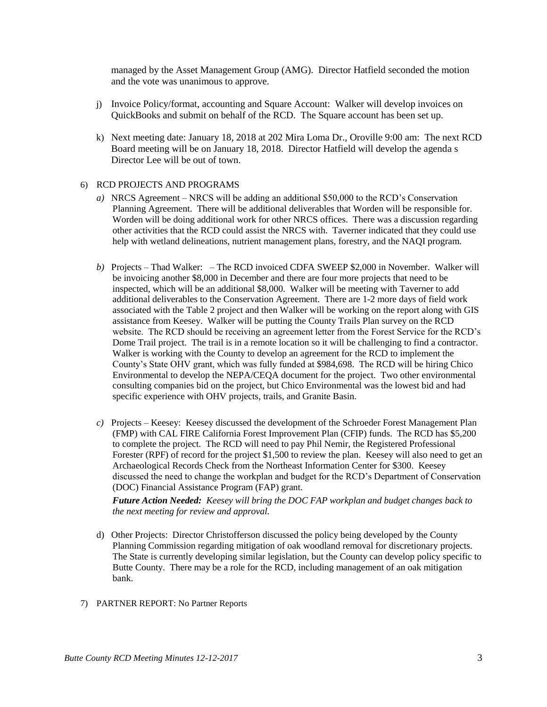managed by the Asset Management Group (AMG). Director Hatfield seconded the motion and the vote was unanimous to approve.

- j) Invoice Policy/format, accounting and Square Account: Walker will develop invoices on QuickBooks and submit on behalf of the RCD. The Square account has been set up.
- k) Next meeting date: January 18, 2018 at 202 Mira Loma Dr., Oroville 9:00 am: The next RCD Board meeting will be on January 18, 2018. Director Hatfield will develop the agenda s Director Lee will be out of town.

## 6) RCD PROJECTS AND PROGRAMS

- *a)* NRCS Agreement NRCS will be adding an additional \$50,000 to the RCD's Conservation Planning Agreement. There will be additional deliverables that Worden will be responsible for. Worden will be doing additional work for other NRCS offices. There was a discussion regarding other activities that the RCD could assist the NRCS with. Taverner indicated that they could use help with wetland delineations, nutrient management plans, forestry, and the NAQI program.
- *b)* Projects Thad Walker: The RCD invoiced CDFA SWEEP \$2,000 in November. Walker will be invoicing another \$8,000 in December and there are four more projects that need to be inspected, which will be an additional \$8,000. Walker will be meeting with Taverner to add additional deliverables to the Conservation Agreement. There are 1-2 more days of field work associated with the Table 2 project and then Walker will be working on the report along with GIS assistance from Keesey. Walker will be putting the County Trails Plan survey on the RCD website. The RCD should be receiving an agreement letter from the Forest Service for the RCD's Dome Trail project. The trail is in a remote location so it will be challenging to find a contractor. Walker is working with the County to develop an agreement for the RCD to implement the County's State OHV grant, which was fully funded at \$984,698. The RCD will be hiring Chico Environmental to develop the NEPA/CEQA document for the project. Two other environmental consulting companies bid on the project, but Chico Environmental was the lowest bid and had specific experience with OHV projects, trails, and Granite Basin.
- *c)* Projects Keesey: Keesey discussed the development of the Schroeder Forest Management Plan (FMP) with CAL FIRE California Forest Improvement Plan (CFIP) funds. The RCD has \$5,200 to complete the project. The RCD will need to pay Phil Nemir, the Registered Professional Forester (RPF) of record for the project \$1,500 to review the plan. Keesey will also need to get an Archaeological Records Check from the Northeast Information Center for \$300. Keesey discussed the need to change the workplan and budget for the RCD's Department of Conservation (DOC) Financial Assistance Program (FAP) grant.

*Future Action Needed: Keesey will bring the DOC FAP workplan and budget changes back to the next meeting for review and approval.*

- d) Other Projects: Director Christofferson discussed the policy being developed by the County Planning Commission regarding mitigation of oak woodland removal for discretionary projects. The State is currently developing similar legislation, but the County can develop policy specific to Butte County. There may be a role for the RCD, including management of an oak mitigation bank.
- 7) PARTNER REPORT: No Partner Reports